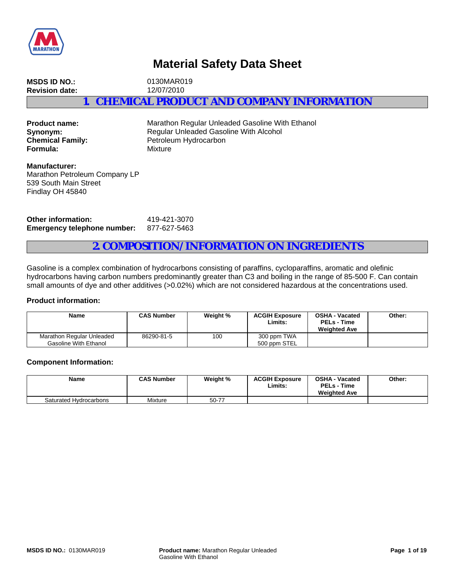

# **Material Safety Data Sheet**

**MSDS ID NO.:** 0130MAR019 **Revision date:** 12/07/2010 **1. CHEMICAL PRODUCT AND COMPANY INFORMATION**

**Formula:** Mixture

**Product name:** Marathon Regular Unleaded Gasoline With Ethanol **Synonym:** Regular Unleaded Gasoline With Alcohol<br> **Chemical Family:** Petroleum Hydrocarbon Petroleum Hydrocarbon

**Manufacturer:** Marathon Petroleum Company LP 539 South Main Street Findlay OH 45840

**Other information:** 419-421-3070 **Emergency telephone number:** 877-627-5463

## **2. COMPOSITION/INFORMATION ON INGREDIENTS**

Gasoline is a complex combination of hydrocarbons consisting of paraffins, cycloparaffins, aromatic and olefinic hydrocarbons having carbon numbers predominantly greater than C3 and boiling in the range of 85-500 F. Can contain small amounts of dye and other additives (>0.02%) which are not considered hazardous at the concentrations used.

## **Product information:**

| <b>Name</b>                                        | <b>CAS Number</b> | Weight % | <b>ACGIH Exposure</b><br>Limits: | <b>OSHA - Vacated</b><br><b>PELs - Time</b><br><b>Weighted Ave</b> | Other: |
|----------------------------------------------------|-------------------|----------|----------------------------------|--------------------------------------------------------------------|--------|
| Marathon Regular Unleaded<br>Gasoline With Ethanol | 86290-81-5        | 100      | 300 ppm TWA<br>500 ppm STEL      |                                                                    |        |

#### **Component Information:**

| <b>Name</b>            | <b>CAS Number</b> | Weight % | <b>ACGIH Exposure</b><br>∟imits∶ | <b>OSHA - Vacated</b><br><b>PELs - Time</b><br><b>Weighted Ave</b> | Other: |
|------------------------|-------------------|----------|----------------------------------|--------------------------------------------------------------------|--------|
| Saturated Hydrocarbons | Mixture           | 50-77    |                                  |                                                                    |        |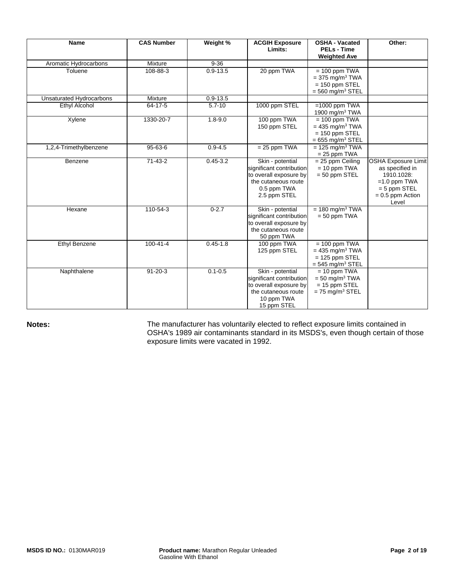| <b>Name</b>              | <b>CAS Number</b> | Weight %     | <b>ACGIH Exposure</b><br>Limits:                                                                                             | <b>OSHA - Vacated</b><br><b>PELs - Time</b><br><b>Weighted Ave</b>                                     | Other:                                                                                                                         |
|--------------------------|-------------------|--------------|------------------------------------------------------------------------------------------------------------------------------|--------------------------------------------------------------------------------------------------------|--------------------------------------------------------------------------------------------------------------------------------|
| Aromatic Hydrocarbons    | Mixture           | $9 - 36$     |                                                                                                                              |                                                                                                        |                                                                                                                                |
| Toluene                  | 108-88-3          | $0.9 - 13.5$ | 20 ppm TWA                                                                                                                   | $= 100$ ppm TWA<br>$=$ 375 mg/m <sup>3</sup> TWA<br>$= 150$ ppm STEL<br>$=$ 560 mg/m <sup>3</sup> STEL |                                                                                                                                |
| Unsaturated Hydrocarbons | Mixture           | $0.9 - 13.5$ |                                                                                                                              |                                                                                                        |                                                                                                                                |
| Ethyl Alcohol            | $64 - 17 - 5$     | $5.7 - 10$   | 1000 ppm STEL                                                                                                                | $=1000$ ppm TWA<br>1900 mg/m $3$ TWA                                                                   |                                                                                                                                |
| Xylene                   | 1330-20-7         | $1.8 - 9.0$  | 100 ppm TWA<br>150 ppm STEL                                                                                                  | $= 100$ ppm TWA<br>$= 435$ mg/m <sup>3</sup> TWA<br>$= 150$ ppm STEL<br>$= 655$ mg/m <sup>3</sup> STEL |                                                                                                                                |
| 1,2,4-Trimethylbenzene   | 95-63-6           | $0.9 - 4.5$  | $= 25$ ppm TWA                                                                                                               | $= 125$ mg/m <sup>3</sup> TWA<br>$= 25$ ppm TWA                                                        |                                                                                                                                |
| Benzene                  | $71 - 43 - 2$     | $0.45 - 3.2$ | Skin - potential<br>significant contribution<br>to overall exposure by<br>the cutaneous route<br>0.5 ppm TWA<br>2.5 ppm STEL | $= 25$ ppm Ceiling<br>$= 10$ ppm TWA<br>$= 50$ ppm STEL                                                | <b>OSHA Exposure Limit</b><br>as specified in<br>1910.1028:<br>$=1.0$ ppm TWA<br>$= 5$ ppm STEL<br>$= 0.5$ ppm Action<br>Level |
| Hexane                   | 110-54-3          | $0 - 2.7$    | Skin - potential<br>significant contribution<br>to overall exposure by<br>the cutaneous route<br>50 ppm TWA                  | $= 180$ mg/m <sup>3</sup> TWA<br>$= 50$ ppm TWA                                                        |                                                                                                                                |
| <b>Ethyl Benzene</b>     | $100 - 41 - 4$    | $0.45 - 1.8$ | 100 ppm TWA<br>125 ppm STEL                                                                                                  | $= 100$ ppm TWA<br>$= 435$ mg/m <sup>3</sup> TWA<br>$= 125$ ppm STEL<br>$=$ 545 mg/m <sup>3</sup> STEL |                                                                                                                                |
| Naphthalene              | $91 - 20 - 3$     | $0.1 - 0.5$  | Skin - potential<br>significant contribution<br>to overall exposure by<br>the cutaneous route<br>10 ppm TWA<br>15 ppm STEL   | $= 10$ ppm TWA<br>$=$ 50 mg/m <sup>3</sup> TWA<br>$= 15$ ppm STEL<br>$= 75$ mg/m <sup>3</sup> STEL     |                                                                                                                                |

Notes: **Notes:** The manufacturer has voluntarily elected to reflect exposure limits contained in OSHA's 1989 air contaminants standard in its MSDS's, even though certain of those exposure limits were vacated in 1992.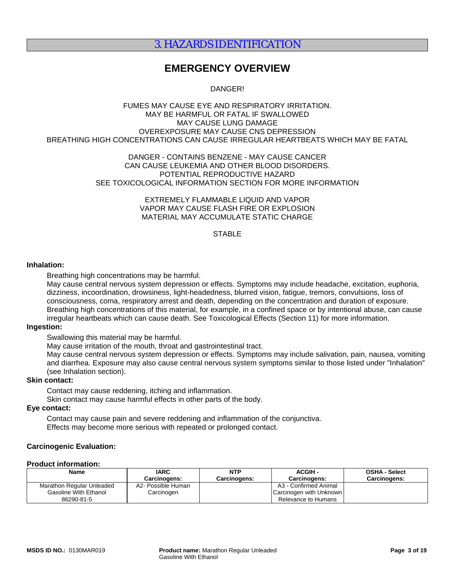## 3. HAZARDS IDENTIFICATION

## **EMERGENCY OVERVIEW**

DANGER!

#### FUMES MAY CAUSE EYE AND RESPIRATORY IRRITATION. MAY BE HARMFUL OR FATAL IF SWALLOWED MAY CAUSE LUNG DAMAGE OVEREXPOSURE MAY CAUSE CNS DEPRESSION BREATHING HIGH CONCENTRATIONS CAN CAUSE IRREGULAR HEARTBEATS WHICH MAY BE FATAL

### DANGER - CONTAINS BENZENE - MAY CAUSE CANCER CAN CAUSE LEUKEMIA AND OTHER BLOOD DISORDERS. POTENTIAL REPRODUCTIVE HAZARD SEE TOXICOLOGICAL INFORMATION SECTION FOR MORE INFORMATION

EXTREMELY FLAMMABLE LIQUID AND VAPOR VAPOR MAY CAUSE FLASH FIRE OR EXPLOSION MATERIAL MAY ACCUMULATE STATIC CHARGE

## **STABLE**

#### **Inhalation:**

Breathing high concentrations may be harmful.

May cause central nervous system depression or effects. Symptoms may include headache, excitation, euphoria, dizziness, incoordination, drowsiness, light-headedness, blurred vision, fatigue, tremors, convulsions, loss of consciousness, coma, respiratory arrest and death, depending on the concentration and duration of exposure. Breathing high concentrations of this material, for example, in a confined space or by intentional abuse, can cause irregular heartbeats which can cause death. See Toxicological Effects (Section 11) for more information.

### **Ingestion:**

Swallowing this material may be harmful.

May cause irritation of the mouth, throat and gastrointestinal tract.

May cause central nervous system depression or effects. Symptoms may include salivation, pain, nausea, vomiting and diarrhea. Exposure may also cause central nervous system symptoms similar to those listed under "Inhalation" (see Inhalation section).

### **Skin contact:**

Contact may cause reddening, itching and inflammation.

Skin contact may cause harmful effects in other parts of the body.

## **Eye contact:**

Contact may cause pain and severe reddening and inflammation of the conjunctiva. Effects may become more serious with repeated or prolonged contact.

### **Carcinogenic Evaluation:**

#### **Product information:**

| <b>Name</b>               | <b>IARC</b>         | NTP                 | <b>ACGIH-</b>           | <b>OSHA - Select</b> |
|---------------------------|---------------------|---------------------|-------------------------|----------------------|
|                           | <b>Carcinogens:</b> | <b>Carcinogens:</b> | <b>Carcinogens:</b>     | <b>Carcinogens:</b>  |
| Marathon Regular Unleaded | A2- Possible Human  |                     | A3 - Confirmed Animal   |                      |
| Gasoline With Ethanol     | Carcinogen          |                     | Carcinogen with Unknown |                      |
| 86290-81-5                |                     |                     | Relevance to Humans     |                      |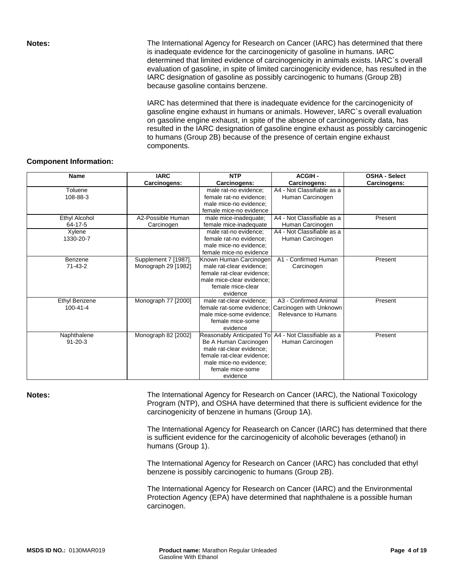**Notes:** The International Agency for Research on Cancer (IARC) has determined that there is inadequate evidence for the carcinogenicity of gasoline in humans. IARC determined that limited evidence of carcinogenicity in animals exists. IARC`s overall evaluation of gasoline, in spite of limited carcinogenicity evidence, has resulted in the IARC designation of gasoline as possibly carcinogenic to humans (Group 2B) because gasoline contains benzene.

> IARC has determined that there is inadequate evidence for the carcinogenicity of gasoline engine exhaust in humans or animals. However, IARC`s overall evaluation on gasoline engine exhaust, in spite of the absence of carcinogenicity data, has resulted in the IARC designation of gasoline engine exhaust as possibly carcinogenic to humans (Group 2B) because of the presence of certain engine exhaust components.

### **Component Information:**

| <b>Name</b>    | <b>IARC</b>          | <b>NTP</b>                 | <b>ACGIH-</b>              | <b>OSHA - Select</b> |
|----------------|----------------------|----------------------------|----------------------------|----------------------|
|                | Carcinogens:         | Carcinogens:               | Carcinogens:               | Carcinogens:         |
| Toluene        |                      | male rat-no evidence;      | A4 - Not Classifiable as a |                      |
| 108-88-3       |                      | female rat-no evidence;    | Human Carcinogen           |                      |
|                |                      | male mice-no evidence;     |                            |                      |
|                |                      | female mice-no evidence    |                            |                      |
| Ethyl Alcohol  | A2-Possible Human    | male mice-inadequate;      | A4 - Not Classifiable as a | Present              |
| $64 - 17 - 5$  | Carcinogen           | female mice-inadequate     | Human Carcinogen           |                      |
| Xylene         |                      | male rat-no evidence;      | A4 - Not Classifiable as a |                      |
| 1330-20-7      |                      | female rat-no evidence;    | Human Carcinogen           |                      |
|                |                      | male mice-no evidence;     |                            |                      |
|                |                      | female mice-no evidence    |                            |                      |
| Benzene        | Supplement 7 [1987], | Known Human Carcinogen     | A1 - Confirmed Human       | Present              |
| $71 - 43 - 2$  | Monograph 29 [1982]  | male rat-clear evidence;   | Carcinogen                 |                      |
|                |                      | female rat-clear evidence: |                            |                      |
|                |                      | male mice-clear evidence:  |                            |                      |
|                |                      | female mice-clear          |                            |                      |
|                |                      | evidence                   |                            |                      |
| Ethyl Benzene  | Monograph 77 [2000]  | male rat-clear evidence;   | A3 - Confirmed Animal      | Present              |
| $100 - 41 - 4$ |                      | female rat-some evidence:  | Carcinogen with Unknown    |                      |
|                |                      | male mice-some evidence:   | Relevance to Humans        |                      |
|                |                      | female mice-some           |                            |                      |
|                |                      | evidence                   |                            |                      |
| Naphthalene    | Monograph 82 [2002]  | Reasonably Anticipated To  | A4 - Not Classifiable as a | Present              |
| $91 - 20 - 3$  |                      | Be A Human Carcinogen      | Human Carcinogen           |                      |
|                |                      | male rat-clear evidence;   |                            |                      |
|                |                      | female rat-clear evidence; |                            |                      |
|                |                      | male mice-no evidence;     |                            |                      |
|                |                      | female mice-some           |                            |                      |
|                |                      | evidence                   |                            |                      |

Notes: **Notes:** The International Agency for Research on Cancer (IARC), the National Toxicology Program (NTP), and OSHA have determined that there is sufficient evidence for the carcinogenicity of benzene in humans (Group 1A).

> The International Agency for Reasearch on Cancer (IARC) has determined that there is sufficient evidence for the carcinogenicity of alcoholic beverages (ethanol) in humans (Group 1).

The International Agency for Research on Cancer (IARC) has concluded that ethyl benzene is possibly carcinogenic to humans (Group 2B).

The International Agency for Research on Cancer (IARC) and the Environmental Protection Agency (EPA) have determined that naphthalene is a possible human carcinogen.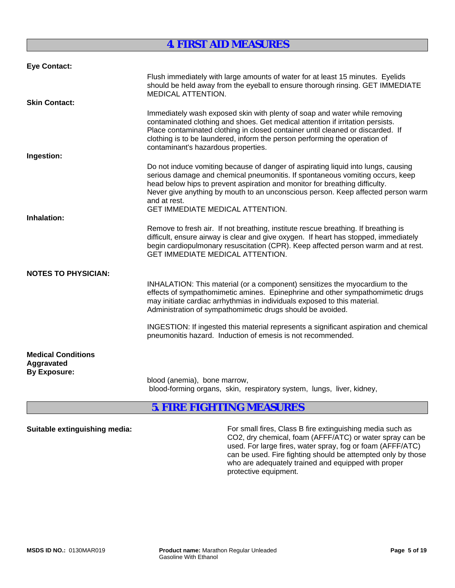## **4. FIRST AID MEASURES**

| <b>Eye Contact:</b>                                            |                                                                                                                                                                                                                                                                                                                                                                                                  |
|----------------------------------------------------------------|--------------------------------------------------------------------------------------------------------------------------------------------------------------------------------------------------------------------------------------------------------------------------------------------------------------------------------------------------------------------------------------------------|
|                                                                | Flush immediately with large amounts of water for at least 15 minutes. Eyelids<br>should be held away from the eyeball to ensure thorough rinsing. GET IMMEDIATE<br>MEDICAL ATTENTION.                                                                                                                                                                                                           |
| <b>Skin Contact:</b>                                           |                                                                                                                                                                                                                                                                                                                                                                                                  |
|                                                                | Immediately wash exposed skin with plenty of soap and water while removing<br>contaminated clothing and shoes. Get medical attention if irritation persists.<br>Place contaminated clothing in closed container until cleaned or discarded. If<br>clothing is to be laundered, inform the person performing the operation of<br>contaminant's hazardous properties.                              |
| Ingestion:                                                     |                                                                                                                                                                                                                                                                                                                                                                                                  |
|                                                                | Do not induce vomiting because of danger of aspirating liquid into lungs, causing<br>serious damage and chemical pneumonitis. If spontaneous vomiting occurs, keep<br>head below hips to prevent aspiration and monitor for breathing difficulty.<br>Never give anything by mouth to an unconscious person. Keep affected person warm<br>and at rest.<br><b>GET IMMEDIATE MEDICAL ATTENTION.</b> |
| Inhalation:                                                    |                                                                                                                                                                                                                                                                                                                                                                                                  |
|                                                                | Remove to fresh air. If not breathing, institute rescue breathing. If breathing is<br>difficult, ensure airway is clear and give oxygen. If heart has stopped, immediately<br>begin cardiopulmonary resuscitation (CPR). Keep affected person warm and at rest.<br><b>GET IMMEDIATE MEDICAL ATTENTION.</b>                                                                                       |
| <b>NOTES TO PHYSICIAN:</b>                                     |                                                                                                                                                                                                                                                                                                                                                                                                  |
|                                                                | INHALATION: This material (or a component) sensitizes the myocardium to the<br>effects of sympathomimetic amines. Epinephrine and other sympathomimetic drugs<br>may initiate cardiac arrhythmias in individuals exposed to this material.<br>Administration of sympathomimetic drugs should be avoided.                                                                                         |
|                                                                | INGESTION: If ingested this material represents a significant aspiration and chemical<br>pneumonitis hazard. Induction of emesis is not recommended.                                                                                                                                                                                                                                             |
| <b>Medical Conditions</b><br>Aggravated<br><b>By Exposure:</b> |                                                                                                                                                                                                                                                                                                                                                                                                  |
|                                                                | blood (anemia), bone marrow,<br>blood-forming organs, skin, respiratory system, lungs, liver, kidney,                                                                                                                                                                                                                                                                                            |

## **5. FIRE FIGHTING MEASURES**

**Suitable extinguishing media:** For small fires, Class B fire extinguishing media such as CO2, dry chemical, foam (AFFF/ATC) or water spray can be used. For large fires, water spray, fog or foam (AFFF/ATC) can be used. Fire fighting should be attempted only by those who are adequately trained and equipped with proper protective equipment.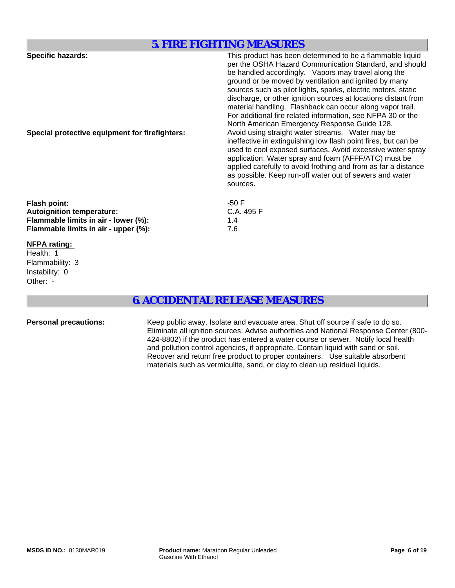## **5. FIRE FIGHTING MEASURES**

| <b>Specific hazards:</b><br>Special protective equipment for firefighters:                                                              | This product has been determined to be a flammable liquid<br>per the OSHA Hazard Communication Standard, and should<br>be handled accordingly. Vapors may travel along the<br>ground or be moved by ventilation and ignited by many<br>sources such as pilot lights, sparks, electric motors, static<br>discharge, or other ignition sources at locations distant from<br>material handling. Flashback can occur along vapor trail.<br>For additional fire related information, see NFPA 30 or the<br>North American Emergency Response Guide 128.<br>Avoid using straight water streams. Water may be<br>ineffective in extinguishing low flash point fires, but can be<br>used to cool exposed surfaces. Avoid excessive water spray<br>application. Water spray and foam (AFFF/ATC) must be<br>applied carefully to avoid frothing and from as far a distance<br>as possible. Keep run-off water out of sewers and water<br>sources. |
|-----------------------------------------------------------------------------------------------------------------------------------------|-----------------------------------------------------------------------------------------------------------------------------------------------------------------------------------------------------------------------------------------------------------------------------------------------------------------------------------------------------------------------------------------------------------------------------------------------------------------------------------------------------------------------------------------------------------------------------------------------------------------------------------------------------------------------------------------------------------------------------------------------------------------------------------------------------------------------------------------------------------------------------------------------------------------------------------------|
| <b>Flash point:</b><br><b>Autoignition temperature:</b><br>Flammable limits in air - lower (%):<br>Flammable limits in air - upper (%): | $-50F$<br>C.A. 495 F<br>1.4<br>7.6                                                                                                                                                                                                                                                                                                                                                                                                                                                                                                                                                                                                                                                                                                                                                                                                                                                                                                      |
| <b>NFPA rating:</b><br>Health: 1<br>Flammability: 3                                                                                     |                                                                                                                                                                                                                                                                                                                                                                                                                                                                                                                                                                                                                                                                                                                                                                                                                                                                                                                                         |

## **6. ACCIDENTAL RELEASE MEASURES**

Other: -

Instability: 0

Personal precautions: Keep public away. Isolate and evacuate area. Shut off source if safe to do so. Eliminate all ignition sources. Advise authorities and National Response Center (800- 424-8802) if the product has entered a water course or sewer. Notify local health and pollution control agencies, if appropriate. Contain liquid with sand or soil. Recover and return free product to proper containers. Use suitable absorbent materials such as vermiculite, sand, or clay to clean up residual liquids.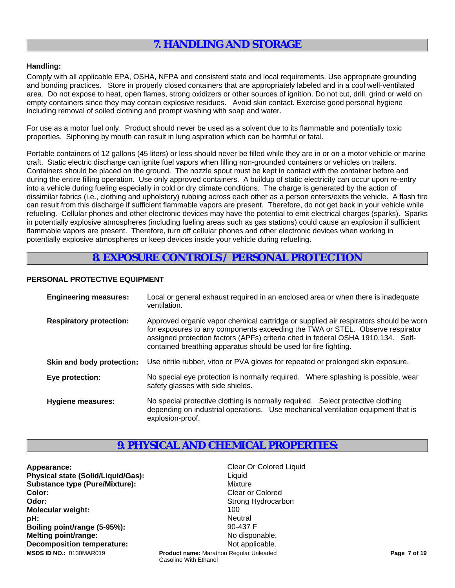## **7. HANDLING AND STORAGE**

### **Handling:**

Comply with all applicable EPA, OSHA, NFPA and consistent state and local requirements. Use appropriate grounding and bonding practices. Store in properly closed containers that are appropriately labeled and in a cool well-ventilated area. Do not expose to heat, open flames, strong oxidizers or other sources of ignition. Do not cut, drill, grind or weld on empty containers since they may contain explosive residues. Avoid skin contact. Exercise good personal hygiene including removal of soiled clothing and prompt washing with soap and water.

For use as a motor fuel only. Product should never be used as a solvent due to its flammable and potentially toxic properties. Siphoning by mouth can result in lung aspiration which can be harmful or fatal.

Portable containers of 12 gallons (45 liters) or less should never be filled while they are in or on a motor vehicle or marine craft. Static electric discharge can ignite fuel vapors when filling non-grounded containers or vehicles on trailers. Containers should be placed on the ground. The nozzle spout must be kept in contact with the container before and during the entire filling operation. Use only approved containers. A buildup of static electricity can occur upon re-entry into a vehicle during fueling especially in cold or dry climate conditions. The charge is generated by the action of dissimilar fabrics (i.e., clothing and upholstery) rubbing across each other as a person enters/exits the vehicle. A flash fire can result from this discharge if sufficient flammable vapors are present. Therefore, do not get back in your vehicle while refueling. Cellular phones and other electronic devices may have the potential to emit electrical charges (sparks). Sparks in potentially explosive atmospheres (including fueling areas such as gas stations) could cause an explosion if sufficient flammable vapors are present. Therefore, turn off cellular phones and other electronic devices when working in potentially explosive atmospheres or keep devices inside your vehicle during refueling.

## **8. EXPOSURE CONTROLS / PERSONAL PROTECTION**

### **PERSONAL PROTECTIVE EQUIPMENT**

| <b>Engineering measures:</b>   | Local or general exhaust required in an enclosed area or when there is inadequate<br>ventilation.                                                                                                                                                                                                                             |
|--------------------------------|-------------------------------------------------------------------------------------------------------------------------------------------------------------------------------------------------------------------------------------------------------------------------------------------------------------------------------|
| <b>Respiratory protection:</b> | Approved organic vapor chemical cartridge or supplied air respirators should be worn<br>for exposures to any components exceeding the TWA or STEL. Observe respirator<br>assigned protection factors (APFs) criteria cited in federal OSHA 1910.134. Self-<br>contained breathing apparatus should be used for fire fighting. |
| Skin and body protection:      | Use nitrile rubber, viton or PVA gloves for repeated or prolonged skin exposure.                                                                                                                                                                                                                                              |
| Eye protection:                | No special eye protection is normally required. Where splashing is possible, wear<br>safety glasses with side shields.                                                                                                                                                                                                        |
| <b>Hygiene measures:</b>       | No special protective clothing is normally required. Select protective clothing<br>depending on industrial operations. Use mechanical ventilation equipment that is<br>explosion-proof.                                                                                                                                       |

## **9. PHYSICAL AND CHEMICAL PROPERTIES:**

Gasoline With Ethanol

**Appearance:** Clear Or Colored Liquid **Physical state (Solid/Liquid/Gas):** Liquid Liquid **Substance type (Pure/Mixture):** Mixture **Color:** Clear or Colored **Colored Clear or Colored Odor:** Strong Hydrocarbon **Strong Hydrocarbon Molecular weight:** 100 **pH:** Neutral **Boiling point/range (5-95%):** 90-437 F **Melting point/range:** No disponable. **Decomposition temperature:** Not applicable. **Product name:** Marathon Regular Unleaded **Product Page 7 of 19 Page 7 of 19 Page 7 of 19**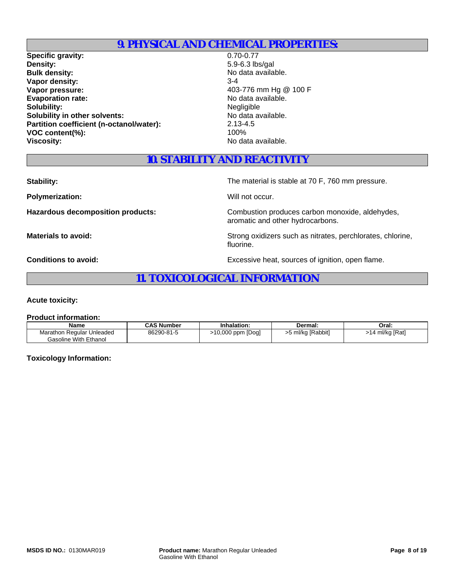## **9. PHYSICAL AND CHEMICAL PROPERTIES:**

**Specific gravity:** 0.70-0.77<br> **Density:** 5.9-6.3 lb: **Bulk density:** No data available. **Vapor density:** 3-4 **Vapor pressure:**  $403-776$  mm Hg @ 100 F Evaporation rate:<br>
Solubility:<br>
Solubility:<br>
Negligible **Solubility:**<br> **Solubility** in other solvents:<br> **Solubility in other solvents:**<br> **Solubility in other solvents: Solubility in other solvents: Partition coefficient (n-octanol/water):** 2.13-4.5<br>VOC content(%): 100% **VOC content(%): Viscosity:** No data available.

**Density:** 5.9-6.3 lbs/gal

## **10. STABILITY AND REACTIVITY**

**Polymerization:** Will not occur.

**Stability:** The material is stable at 70 F, 760 mm pressure.

Hazardous decomposition products: Combustion produces carbon monoxide, aldehydes, aromatic and other hydrocarbons.

**Materials to avoid:** National Strong oxidizers such as nitrates, perchlorates, chlorine, fluorine.

**Conditions to avoid:** Excessive heat, sources of ignition, open flame.

## **11. TOXICOLOGICAL INFORMATION**

**Acute toxicity:**

#### **Product information:**

| Name                                                      | <b>CAS Number</b> | Inhalation:       | Dermal:           | Oral:           |
|-----------------------------------------------------------|-------------------|-------------------|-------------------|-----------------|
| Marathon Regular Unleaded<br><b>Gasoline With Ethanol</b> | 86290-81-5        | ⋅10,000 ppm [Dog] | >5 ml/kg [Rabbit] | >14 ml/kg [Rat] |

**Toxicology Information:**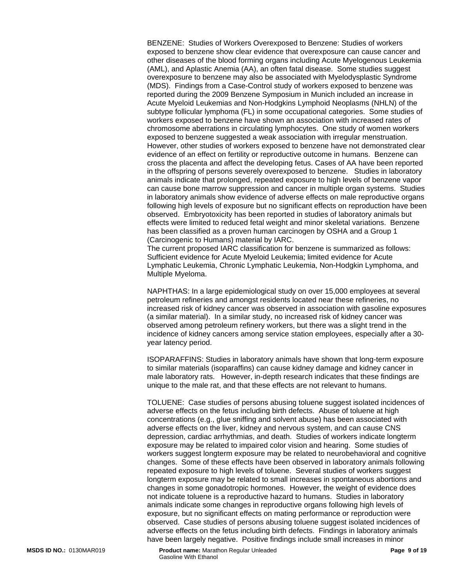BENZENE: Studies of Workers Overexposed to Benzene: Studies of workers exposed to benzene show clear evidence that overexposure can cause cancer and other diseases of the blood forming organs including Acute Myelogenous Leukemia (AML), and Aplastic Anemia (AA), an often fatal disease. Some studies suggest overexposure to benzene may also be associated with Myelodysplastic Syndrome (MDS). Findings from a Case-Control study of workers exposed to benzene was reported during the 2009 Benzene Symposium in Munich included an increase in Acute Myeloid Leukemias and Non-Hodgkins Lymphoid Neoplasms (NHLN) of the subtype follicular lymphoma (FL) in some occupational categories. Some studies of workers exposed to benzene have shown an association with increased rates of chromosome aberrations in circulating lymphocytes. One study of women workers exposed to benzene suggested a weak association with irregular menstruation. However, other studies of workers exposed to benzene have not demonstrated clear evidence of an effect on fertility or reproductive outcome in humans. Benzene can cross the placenta and affect the developing fetus. Cases of AA have been reported in the offspring of persons severely overexposed to benzene. Studies in laboratory animals indicate that prolonged, repeated exposure to high levels of benzene vapor can cause bone marrow suppression and cancer in multiple organ systems. Studies in laboratory animals show evidence of adverse effects on male reproductive organs following high levels of exposure but no significant effects on reproduction have been observed. Embryotoxicity has been reported in studies of laboratory animals but effects were limited to reduced fetal weight and minor skeletal variations. Benzene has been classified as a proven human carcinogen by OSHA and a Group 1 (Carcinogenic to Humans) material by IARC.

The current proposed IARC classification for benzene is summarized as follows: Sufficient evidence for Acute Myeloid Leukemia; limited evidence for Acute Lymphatic Leukemia, Chronic Lymphatic Leukemia, Non-Hodgkin Lymphoma, and Multiple Myeloma.

NAPHTHAS: In a large epidemiological study on over 15,000 employees at several petroleum refineries and amongst residents located near these refineries, no increased risk of kidney cancer was observed in association with gasoline exposures (a similar material). In a similar study, no increased risk of kidney cancer was observed among petroleum refinery workers, but there was a slight trend in the incidence of kidney cancers among service station employees, especially after a 30 year latency period.

ISOPARAFFINS: Studies in laboratory animals have shown that long-term exposure to similar materials (isoparaffins) can cause kidney damage and kidney cancer in male laboratory rats. However, in-depth research indicates that these findings are unique to the male rat, and that these effects are not relevant to humans.

TOLUENE: Case studies of persons abusing toluene suggest isolated incidences of adverse effects on the fetus including birth defects. Abuse of toluene at high concentrations (e.g., glue sniffing and solvent abuse) has been associated with adverse effects on the liver, kidney and nervous system, and can cause CNS depression, cardiac arrhythmias, and death. Studies of workers indicate longterm exposure may be related to impaired color vision and hearing. Some studies of workers suggest longterm exposure may be related to neurobehavioral and cognitive changes. Some of these effects have been observed in laboratory animals following repeated exposure to high levels of toluene. Several studies of workers suggest longterm exposure may be related to small increases in spontaneous abortions and changes in some gonadotropic hormones. However, the weight of evidence does not indicate toluene is a reproductive hazard to humans. Studies in laboratory animals indicate some changes in reproductive organs following high levels of exposure, but no significant effects on mating performance or reproduction were observed. Case studies of persons abusing toluene suggest isolated incidences of adverse effects on the fetus including birth defects. Findings in laboratory animals have been largely negative. Positive findings include small increases in minor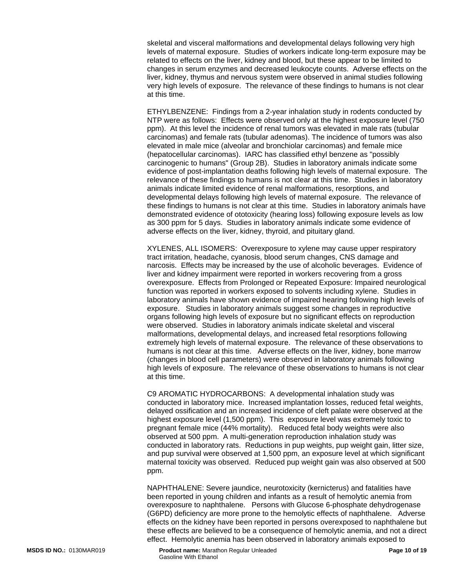skeletal and visceral malformations and developmental delays following very high levels of maternal exposure. Studies of workers indicate long-term exposure may be related to effects on the liver, kidney and blood, but these appear to be limited to changes in serum enzymes and decreased leukocyte counts. Adverse effects on the liver, kidney, thymus and nervous system were observed in animal studies following very high levels of exposure. The relevance of these findings to humans is not clear at this time.

ETHYLBENZENE: Findings from a 2-year inhalation study in rodents conducted by NTP were as follows: Effects were observed only at the highest exposure level (750 ppm). At this level the incidence of renal tumors was elevated in male rats (tubular carcinomas) and female rats (tubular adenomas). The incidence of tumors was also elevated in male mice (alveolar and bronchiolar carcinomas) and female mice (hepatocellular carcinomas). IARC has classified ethyl benzene as "possibly carcinogenic to humans" (Group 2B). Studies in laboratory animals indicate some evidence of post-implantation deaths following high levels of maternal exposure. The relevance of these findings to humans is not clear at this time. Studies in laboratory animals indicate limited evidence of renal malformations, resorptions, and developmental delays following high levels of maternal exposure. The relevance of these findings to humans is not clear at this time. Studies in laboratory animals have demonstrated evidence of ototoxicity (hearing loss) following exposure levels as low as 300 ppm for 5 days. Studies in laboratory animals indicate some evidence of adverse effects on the liver, kidney, thyroid, and pituitary gland.

XYLENES, ALL ISOMERS: Overexposure to xylene may cause upper respiratory tract irritation, headache, cyanosis, blood serum changes, CNS damage and narcosis. Effects may be increased by the use of alcoholic beverages. Evidence of liver and kidney impairment were reported in workers recovering from a gross overexposure. Effects from Prolonged or Repeated Exposure: Impaired neurological function was reported in workers exposed to solvents including xylene. Studies in laboratory animals have shown evidence of impaired hearing following high levels of exposure. Studies in laboratory animals suggest some changes in reproductive organs following high levels of exposure but no significant effects on reproduction were observed. Studies in laboratory animals indicate skeletal and visceral malformations, developmental delays, and increased fetal resorptions following extremely high levels of maternal exposure. The relevance of these observations to humans is not clear at this time. Adverse effects on the liver, kidney, bone marrow (changes in blood cell parameters) were observed in laboratory animals following high levels of exposure. The relevance of these observations to humans is not clear at this time.

C9 AROMATIC HYDROCARBONS: A developmental inhalation study was conducted in laboratory mice. Increased implantation losses, reduced fetal weights, delayed ossification and an increased incidence of cleft palate were observed at the highest exposure level (1,500 ppm). This exposure level was extremely toxic to pregnant female mice (44% mortality). Reduced fetal body weights were also observed at 500 ppm. A multi-generation reproduction inhalation study was conducted in laboratory rats. Reductions in pup weights, pup weight gain, litter size, and pup survival were observed at 1,500 ppm, an exposure level at which significant maternal toxicity was observed. Reduced pup weight gain was also observed at 500 ppm.

NAPHTHALENE: Severe jaundice, neurotoxicity (kernicterus) and fatalities have been reported in young children and infants as a result of hemolytic anemia from overexposure to naphthalene. Persons with Glucose 6-phosphate dehydrogenase (G6PD) deficiency are more prone to the hemolytic effects of naphthalene. Adverse effects on the kidney have been reported in persons overexposed to naphthalene but these effects are believed to be a consequence of hemolytic anemia, and not a direct effect. Hemolytic anemia has been observed in laboratory animals exposed to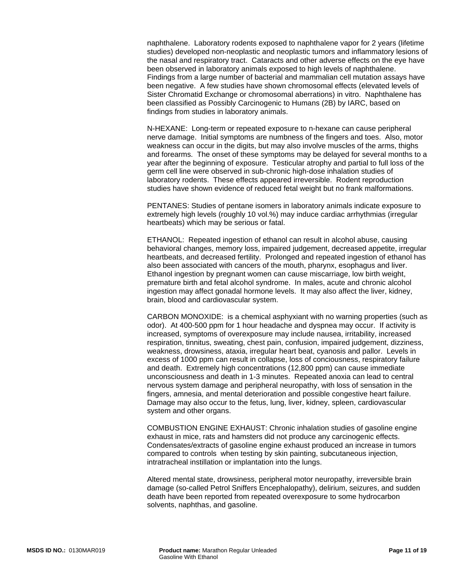naphthalene. Laboratory rodents exposed to naphthalene vapor for 2 years (lifetime studies) developed non-neoplastic and neoplastic tumors and inflammatory lesions of the nasal and respiratory tract. Cataracts and other adverse effects on the eye have been observed in laboratory animals exposed to high levels of naphthalene. Findings from a large number of bacterial and mammalian cell mutation assays have been negative. A few studies have shown chromosomal effects (elevated levels of Sister Chromatid Exchange or chromosomal aberrations) in vitro. Naphthalene has been classified as Possibly Carcinogenic to Humans (2B) by IARC, based on findings from studies in laboratory animals.

N-HEXANE: Long-term or repeated exposure to n-hexane can cause peripheral nerve damage. Initial symptoms are numbness of the fingers and toes. Also, motor weakness can occur in the digits, but may also involve muscles of the arms, thighs and forearms. The onset of these symptoms may be delayed for several months to a year after the beginning of exposure. Testicular atrophy and partial to full loss of the germ cell line were observed in sub-chronic high-dose inhalation studies of laboratory rodents. These effects appeared irreversible. Rodent reproduction studies have shown evidence of reduced fetal weight but no frank malformations.

PENTANES: Studies of pentane isomers in laboratory animals indicate exposure to extremely high levels (roughly 10 vol.%) may induce cardiac arrhythmias (irregular heartbeats) which may be serious or fatal.

ETHANOL: Repeated ingestion of ethanol can result in alcohol abuse, causing behavioral changes, memory loss, impaired judgement, decreased appetite, irregular heartbeats, and decreased fertility. Prolonged and repeated ingestion of ethanol has also been associated with cancers of the mouth, pharynx, esophagus and liver. Ethanol ingestion by pregnant women can cause miscarriage, low birth weight, premature birth and fetal alcohol syndrome. In males, acute and chronic alcohol ingestion may affect gonadal hormone levels. It may also affect the liver, kidney, brain, blood and cardiovascular system.

CARBON MONOXIDE: is a chemical asphyxiant with no warning properties (such as odor). At 400-500 ppm for 1 hour headache and dyspnea may occur. If activity is increased, symptoms of overexposure may include nausea, irritability, increased respiration, tinnitus, sweating, chest pain, confusion, impaired judgement, dizziness, weakness, drowsiness, ataxia, irregular heart beat, cyanosis and pallor. Levels in excess of 1000 ppm can result in collapse, loss of conciousness, respiratory failure and death. Extremely high concentrations (12,800 ppm) can cause immediate unconsciousness and death in 1-3 minutes. Repeated anoxia can lead to central nervous system damage and peripheral neuropathy, with loss of sensation in the fingers, amnesia, and mental deterioration and possible congestive heart failure. Damage may also occur to the fetus, lung, liver, kidney, spleen, cardiovascular system and other organs.

COMBUSTION ENGINE EXHAUST: Chronic inhalation studies of gasoline engine exhaust in mice, rats and hamsters did not produce any carcinogenic effects. Condensates/extracts of gasoline engine exhaust produced an increase in tumors compared to controls when testing by skin painting, subcutaneous injection, intratracheal instillation or implantation into the lungs.

Altered mental state, drowsiness, peripheral motor neuropathy, irreversible brain damage (so-called Petrol Sniffers Encephalopathy), delirium, seizures, and sudden death have been reported from repeated overexposure to some hydrocarbon solvents, naphthas, and gasoline.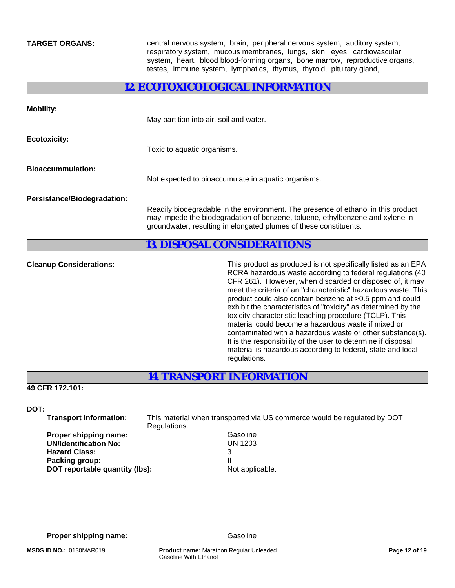**TARGET ORGANS:** central nervous system, brain, peripheral nervous system, auditory system, respiratory system, mucous membranes, lungs, skin, eyes, cardiovascular system, heart, blood blood-forming organs, bone marrow, reproductive organs, testes, immune system, lymphatics, thymus, thyroid, pituitary gland,

## **12. ECOTOXICOLOGICAL INFORMATION**

| <b>Mobility:</b>                   | May partition into air, soil and water.                                                                                                                                                                                                 |
|------------------------------------|-----------------------------------------------------------------------------------------------------------------------------------------------------------------------------------------------------------------------------------------|
| <b>Ecotoxicity:</b>                | Toxic to aquatic organisms.                                                                                                                                                                                                             |
| <b>Bioaccummulation:</b>           | Not expected to bioaccumulate in aquatic organisms.                                                                                                                                                                                     |
| <b>Persistance/Biodegradation:</b> | Readily biodegradable in the environment. The presence of ethanol in this product<br>may impede the biodegradation of benzene, toluene, ethylbenzene and xylene in<br>groundwater, resulting in elongated plumes of these constituents. |
|                                    | <b>13. DISPOSAL CONSIDERATIONS</b>                                                                                                                                                                                                      |
|                                    |                                                                                                                                                                                                                                         |

**Cleanup Considerations:** This product as produced is not specifically listed as an EPA RCRA hazardous waste according to federal regulations (40 CFR 261). However, when discarded or disposed of, it may meet the criteria of an "characteristic" hazardous waste. This product could also contain benzene at >0.5 ppm and could exhibit the characteristics of "toxicity" as determined by the toxicity characteristic leaching procedure (TCLP). This material could become a hazardous waste if mixed or contaminated with a hazardous waste or other substance(s). It is the responsibility of the user to determine if disposal material is hazardous according to federal, state and local regulations.

## **14. TRANSPORT INFORMATION**

**49 CFR 172.101:** 

**DOT:** 

 **Transport Information:** This material when transported via US commerce would be regulated by DOT Regulations.

**Proper shipping name:** Gasoline  **UN/Identification No:** UN 1203 **Hazard Class:** 3 **Packing group:** III **DOT reportable quantity (lbs):** Not applicable.

**Proper shipping name:** Gasoline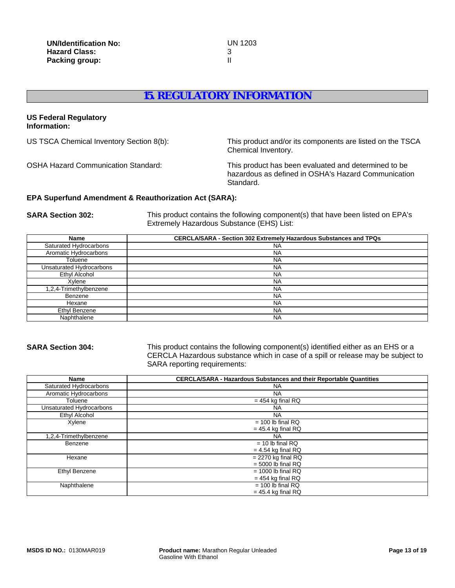## **15. REGULATORY INFORMATION**

#### **US Federal Regulatory Information:**

US TSCA Chemical Inventory Section 8(b): This product and/or its components are listed on the TSCA Chemical Inventory.

OSHA Hazard Communication Standard: This product has been evaluated and determined to be hazardous as defined in OSHA's Hazard Communication Standard.

### **EPA Superfund Amendment & Reauthorization Act (SARA):**

**SARA Section 302:** This product contains the following component(s) that have been listed on EPA's Extremely Hazardous Substance (EHS) List:

| <b>Name</b>              | <b>CERCLA/SARA - Section 302 Extremely Hazardous Substances and TPQs</b> |
|--------------------------|--------------------------------------------------------------------------|
| Saturated Hydrocarbons   | <b>NA</b>                                                                |
| Aromatic Hydrocarbons    | <b>NA</b>                                                                |
| Toluene                  | <b>NA</b>                                                                |
| Unsaturated Hydrocarbons | <b>NA</b>                                                                |
| Ethyl Alcohol            | <b>NA</b>                                                                |
| Xylene                   | <b>NA</b>                                                                |
| 1,2,4-Trimethylbenzene   | <b>NA</b>                                                                |
| Benzene                  | <b>NA</b>                                                                |
| Hexane                   | <b>NA</b>                                                                |
| Ethyl Benzene            | <b>NA</b>                                                                |
| Naphthalene              | <b>NA</b>                                                                |

**SARA Section 304:** This product contains the following component(s) identified either as an EHS or a CERCLA Hazardous substance which in case of a spill or release may be subject to SARA reporting requirements:

| <b>Name</b>              | <b>CERCLA/SARA - Hazardous Substances and their Reportable Quantities</b> |
|--------------------------|---------------------------------------------------------------------------|
| Saturated Hydrocarbons   | <b>NA</b>                                                                 |
| Aromatic Hydrocarbons    | <b>NA</b>                                                                 |
| Toluene                  | $= 454$ kg final RQ                                                       |
| Unsaturated Hydrocarbons | ΝA                                                                        |
| Ethyl Alcohol            | <b>NA</b>                                                                 |
| Xylene                   | $= 100$ lb final RQ                                                       |
|                          | $= 45.4$ kg final RQ                                                      |
| 1,2,4-Trimethylbenzene   | <b>NA</b>                                                                 |
| Benzene                  | $= 10$ lb final RQ                                                        |
|                          | $= 4.54$ kg final RQ                                                      |
| Hexane                   | $= 2270$ kg final RQ                                                      |
|                          | $= 5000$ lb final RQ                                                      |
| Ethyl Benzene            | $= 1000$ lb final RQ                                                      |
|                          | $= 454$ kg final RQ                                                       |
| Naphthalene              | $= 100$ lb final RQ                                                       |
|                          | $= 45.4$ kg final RQ                                                      |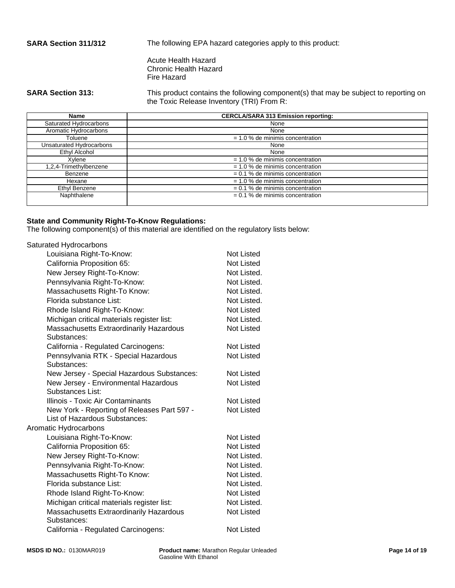**SARA Section 311/312** The following EPA hazard categories apply to this product:

Acute Health Hazard Chronic Health Hazard Fire Hazard

**SARA Section 313:** This product contains the following component(s) that may be subject to reporting on the Toxic Release Inventory (TRI) From R:

| Name                     | <b>CERCLA/SARA 313 Emission reporting:</b> |  |
|--------------------------|--------------------------------------------|--|
| Saturated Hydrocarbons   | None                                       |  |
| Aromatic Hydrocarbons    | None                                       |  |
| Toluene                  | $= 1.0$ % de minimis concentration         |  |
| Unsaturated Hydrocarbons | None                                       |  |
| Ethyl Alcohol            | None                                       |  |
| Xylene                   | $= 1.0$ % de minimis concentration         |  |
| 1,2,4-Trimethylbenzene   | $= 1.0$ % de minimis concentration         |  |
| Benzene                  | $= 0.1$ % de minimis concentration         |  |
| Hexane                   | $= 1.0$ % de minimis concentration         |  |
| Ethyl Benzene            | $= 0.1$ % de minimis concentration         |  |
| Naphthalene              | $= 0.1$ % de minimis concentration         |  |

### **State and Community Right-To-Know Regulations:**

The following component(s) of this material are identified on the regulatory lists below:

| Saturated Hydrocarbons                                 |                   |
|--------------------------------------------------------|-------------------|
| Louisiana Right-To-Know:                               | Not Listed        |
| California Proposition 65:                             | Not Listed        |
| New Jersey Right-To-Know:                              | Not Listed.       |
| Pennsylvania Right-To-Know:                            | Not Listed.       |
| Massachusetts Right-To Know:                           | Not Listed.       |
| Florida substance List:                                | Not Listed.       |
| Rhode Island Right-To-Know:                            | <b>Not Listed</b> |
| Michigan critical materials register list:             | Not Listed.       |
| Massachusetts Extraordinarily Hazardous<br>Substances: | <b>Not Listed</b> |
| California - Regulated Carcinogens:                    | Not Listed        |
| Pennsylvania RTK - Special Hazardous                   | <b>Not Listed</b> |
| Substances:                                            |                   |
| New Jersey - Special Hazardous Substances:             | Not Listed        |
| New Jersey - Environmental Hazardous                   | <b>Not Listed</b> |
| Substances List:                                       |                   |
| Illinois - Toxic Air Contaminants                      | Not Listed        |
| New York - Reporting of Releases Part 597 -            | <b>Not Listed</b> |
| List of Hazardous Substances:                          |                   |
| Aromatic Hydrocarbons                                  |                   |
| Louisiana Right-To-Know:                               | Not Listed        |
| California Proposition 65:                             | Not Listed        |
| New Jersey Right-To-Know:                              | Not Listed.       |
| Pennsylvania Right-To-Know:                            | Not Listed.       |
| Massachusetts Right-To Know:                           | Not Listed.       |
| Florida substance List:                                | Not Listed.       |
| Rhode Island Right-To-Know:                            | Not Listed        |
| Michigan critical materials register list:             | Not Listed.       |
| Massachusetts Extraordinarily Hazardous<br>Substances: | Not Listed        |
| California - Regulated Carcinogens:                    | Not Listed        |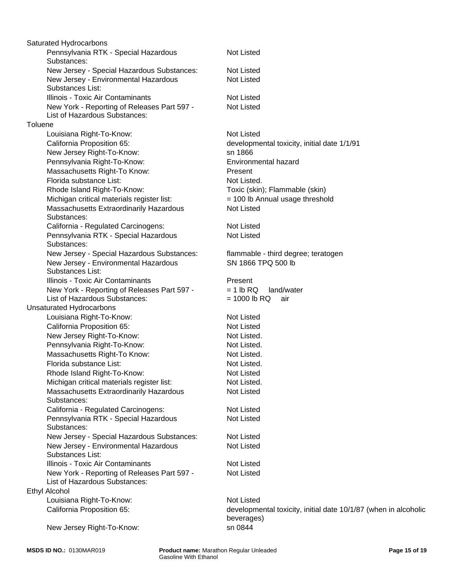Pennsylvania RTK - Special Hazardous Substances: Not Listed New Jersey - Special Hazardous Substances: flammable - third degree; teratogen Louisiana Right-To-Know: Not Listed New Jersey - Environmental Hazardous Substances List: SN 1866 TPQ 500 lb Pennsylvania RTK - Special Hazardous Substances: Illinois - Toxic Air Contaminants **Present**  California Proposition 65: New York - Reporting of Releases Part 597 - List of Hazardous Substances:  $= 1$  lb RQ land/water  $= 1000$  lb RQ air developmental toxicity, initial date 1/1/91 New Jersey - Environmental Hazardous Substances List: Unsaturated Hydrocarbons Not Listed Louisiana Right-To-Know: Not Listed New Jersey Right-To-Know: sn 1866 California Proposition 65: Not Listed Not Listed New Jersey Right-To-Know: New Jersey Right-To-Know: Pennsylvania Right-To-Know: Not Listed. Pennsylvania Right-To-Know: Environmental hazard Massachusetts Right-To Know: Not Listed. Illinois - Toxic Air Contaminants Florida substance List: Not Listed. Massachusetts Right-To Know: Rhode Island Right-To-Know: Not Listed Present Not Listed Michigan critical materials register list: Not Listed. Saturated Hydrocarbons Massachusetts Extraordinarily Hazardous Substances: Not Listed Florida substance List: Not Listed. California - Regulated Carcinogens: Not Listed Pennsylvania RTK - Special Hazardous Substances: Not Listed New Jersey - Special Hazardous Substances: Not Listed Rhode Island Right-To-Know: Toxic (skin); Flammable (skin) New Jersey - Environmental Hazardous Substances List: Not Listed New York - Reporting of Releases Part 597 - List of Hazardous Substances: Not Listed Illinois - Toxic Air Contaminants Not Listed Michigan critical materials register list: New York - Reporting of Releases Part 597 - List of Hazardous Substances: Not Listed = 100 lb Annual usage threshold Ethyl Alcohol New Jersey - Special Hazardous Substances: Louisiana Right-To-Know: Not Listed Massachusetts Extraordinarily Hazardous Substances: Not Listed California Proposition 65: developmental toxicity, initial date 10/1/87 (when in alcoholic beverages) Not Listed New Jersey Right-To-Know: sn 0844 **Toluene**  California - Regulated Carcinogens: Not Listed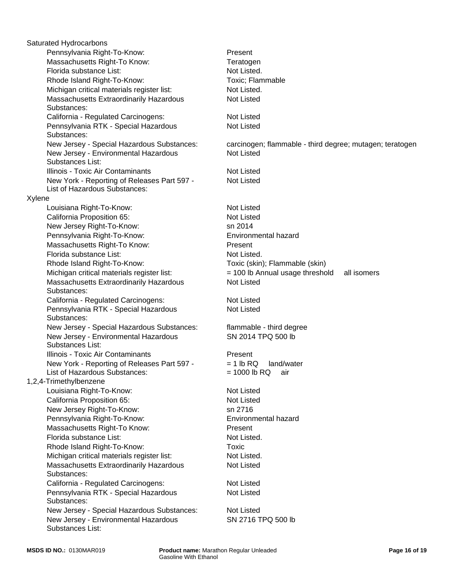Massachusetts Right-To Know: Present California - Regulated Carcinogens: Florida substance List: Not Listed. Not Listed Pennsylvania Right-To-Know: Rhode Island Right-To-Know: Toxic (skin); Flammable (skin) Michigan critical materials register list:  $= 100$  lb Annual usage threshold all isomers Pennsylvania RTK - Special Hazardous Substances: Not Listed Massachusetts Extraordinarily Hazardous Substances: Not Listed Florida substance List: Not Listed. California - Regulated Carcinogens: Not Listed Pennsylvania RTK - Special Hazardous Substances: Not Listed New Jersey - Special Hazardous Substances: carcinogen; flammable - third degree; mutagen; teratogen New Jersey - Special Hazardous Substances: flammable - third degree Present New Jersey - Environmental Hazardous Substances List: SN 2014 TPQ 500 lb New Jersey - Environmental Hazardous Substances List: Illinois - Toxic Air Contaminants **Present** Not Listed New York - Reporting of Releases Part 597 - List of Hazardous Substances:  $= 1$  lb RQ land/water  $= 1000$  lb RQ air Rhode Island Right-To-Know: 1,2,4-Trimethylbenzene Illinois - Toxic Air Contaminants Not Listed Louisiana Right-To-Know: Not Listed Toxic; Flammable California Proposition 65: Not Listed Saturated Hydrocarbons New Jersey Right-To-Know: sn 2716 New York - Reporting of Releases Part 597 - List of Hazardous Substances: Not Listed Pennsylvania Right-To-Know: Environmental hazard Massachusetts Right-To Know: Present Xylene Florida substance List: Not Listed. Michigan critical materials register list: Not Listed. Rhode Island Right-To-Know: Toxic Louisiana Right-To-Know: Michigan critical materials register list: Not Listed. Not Listed Massachusetts Extraordinarily Hazardous Substances: Not Listed Massachusetts Right-To Know: California - Regulated Carcinogens: Not Listed California Proposition 65: Not Listed Pennsylvania RTK - Special Hazardous Substances: Not Listed **Teratogen**  New Jersey - Special Hazardous Substances: Not Listed New Jersey - Environmental Hazardous Substances List: SN 2716 TPQ 500 lb New Jersey Right-To-Know: sn 2014 Massachusetts Extraordinarily Hazardous Substances: Not Listed Pennsylvania Right-To-Know: Environmental hazard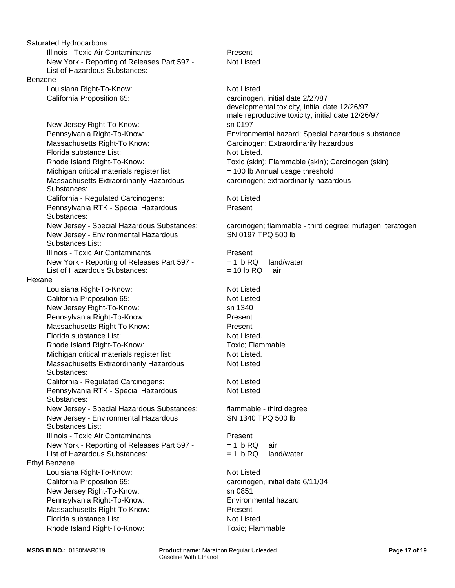|         | Saturated Hydrocarbons                      |                  |
|---------|---------------------------------------------|------------------|
|         | Illinois - Toxic Air Contaminants           | Present          |
|         | New York - Reporting of Releases Part 597 - | <b>Not Liste</b> |
|         | List of Hazardous Substances:               |                  |
| Benzene |                                             |                  |
|         | Louisiana Right-To-Know:                    | <b>Not Liste</b> |
|         | California Proposition 65:                  | carcinog         |
|         |                                             | developr         |
|         |                                             | male rep         |
|         | New Jersey Right-To-Know:                   | sn 0197          |
|         | Pennsylvania Right-To-Know:                 | Environn         |
|         | Massachusetts Right-To Know:                | Carcinog         |
|         | Florida substance List:                     | <b>Not Liste</b> |
|         | Rhode Island Right-To-Know:                 | Toxic (sk        |
|         | Michigan critical materials register list:  | $= 100 lb$       |
|         | Massachusetts Extraordinarily Hazardous     | carcinog         |
|         | Substances:                                 |                  |
|         | California - Regulated Carcinogens:         | <b>Not Liste</b> |
|         | Pennsylvania RTK - Special Hazardous        | Present          |
|         | Substances:                                 |                  |
|         | New Jersey - Special Hazardous Substances:  | carcinog         |
|         | New Jersey - Environmental Hazardous        | SN 0197          |
|         | Substances List:                            |                  |
|         | Illinois - Toxic Air Contaminants           | Present          |
|         | New York - Reporting of Releases Part 597 - | $= 1$ lb R       |
|         | List of Hazardous Substances:               | $= 10$ lb F      |
| Hexane  |                                             |                  |
|         | Louisiana Right-To-Know:                    | Not Liste        |
|         | California Proposition 65:                  | <b>Not Liste</b> |
|         | New Jersey Right-To-Know:                   | sn 1340          |
|         | Pennsylvania Right-To-Know:                 | Present          |
|         | Massachusetts Right-To Know:                | Present          |
|         | Florida substance List:                     | <b>Not Liste</b> |
|         | Rhode Island Right-To-Know:                 | Toxic; Fl        |
|         | Michigan critical materials register list:  | <b>Not Liste</b> |
|         | Massachusetts Extraordinarily Hazardous     | <b>Not Liste</b> |
|         | Substances:                                 |                  |
|         | California - Regulated Carcinogens:         | <b>Not Liste</b> |
|         | Pennsylvania RTK - Special Hazardous        | <b>Not Liste</b> |
|         | Substances:                                 |                  |
|         | New Jersey - Special Hazardous Substances:  | flammab          |
|         | New Jersey - Environmental Hazardous        | SN 1340          |
|         | Substances List:                            |                  |
|         | Illinois - Toxic Air Contaminants           | Present          |
|         | New York - Reporting of Releases Part 597 - | $= 1$ lb RC      |
|         | List of Hazardous Substances:               | $= 1$ lb R       |
|         | <b>Ethyl Benzene</b>                        |                  |
|         | Louisiana Right-To-Know:                    | <b>Not Liste</b> |
|         | California Proposition 65:                  | carcinog         |
|         | New Jersey Right-To-Know:                   | sn 0851          |
|         | Pennsylvania Right-To-Know:                 | Environn         |
|         | Massachusetts Right-To Know:                | Present          |
|         | Florida substance List:                     | Not Liste        |
|         | Rhode Island Right-To-Know:                 | Toxic; Fl        |
|         |                                             |                  |

Present Not Listed

Environmental hazard; Special hazardous substance Carcinogen; Extraordinarily hazardous Not Listed. Toxic (skin); Flammable (skin); Carcinogen (skin) Not Listed = 100 lb Annual usage threshold carcinogen; extraordinarily hazardous carcinogen, initial date 2/27/87 developmental toxicity, initial date 12/26/97 male reproductive toxicity, initial date 12/26/97 sn 0197

**Not Listed** Present

carcinogen; flammable - third degree; mutagen; teratogen SN 0197 TPQ 500 lb

 $= 1$  lb RQ land/water  $= 10$  lb RQ air **Present** 

**Not Listed Not Listed** Present Present Not Listed. Toxic: Flammable Not Listed. Not Listed

**Not Listed** Not Listed

flammable - third degree SN 1340 TPQ 500 lb

**Present**  $= 1$  lb RQ air = 1 lb RQ land/water

**Not Listed** carcinogen, initial date 6/11/04 **Environmental hazard** Present Not Listed. Toxic; Flammable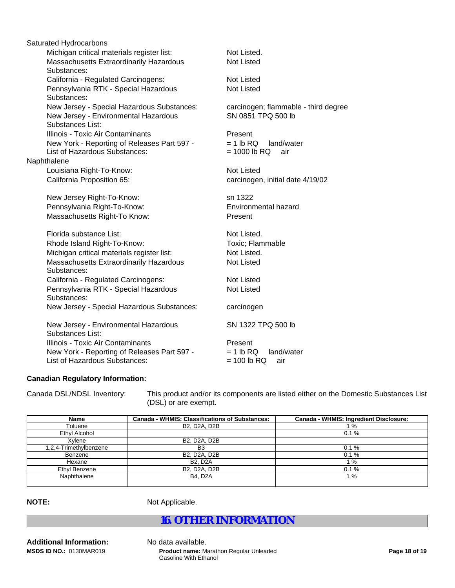|             | Saturated Hydrocarbons                      |                                      |  |  |  |
|-------------|---------------------------------------------|--------------------------------------|--|--|--|
|             | Michigan critical materials register list:  | Not Listed.                          |  |  |  |
|             | Massachusetts Extraordinarily Hazardous     | <b>Not Listed</b>                    |  |  |  |
|             | Substances:                                 |                                      |  |  |  |
|             | California - Regulated Carcinogens:         | <b>Not Listed</b>                    |  |  |  |
|             | Pennsylvania RTK - Special Hazardous        | <b>Not Listed</b>                    |  |  |  |
|             | Substances:                                 |                                      |  |  |  |
|             | New Jersey - Special Hazardous Substances:  | carcinogen; flammable - third degree |  |  |  |
|             | New Jersey - Environmental Hazardous        | SN 0851 TPQ 500 lb                   |  |  |  |
|             | Substances List:                            |                                      |  |  |  |
|             | Illinois - Toxic Air Contaminants           | Present                              |  |  |  |
|             | New York - Reporting of Releases Part 597 - | $= 1 lb RQ$<br>land/water            |  |  |  |
|             | List of Hazardous Substances:               | $= 1000$ lb RQ<br>air                |  |  |  |
| Naphthalene |                                             |                                      |  |  |  |
|             | Louisiana Right-To-Know:                    | <b>Not Listed</b>                    |  |  |  |
|             | California Proposition 65:                  | carcinogen, initial date 4/19/02     |  |  |  |
|             | New Jersey Right-To-Know:                   | sn 1322                              |  |  |  |
|             | Pennsylvania Right-To-Know:                 | Environmental hazard                 |  |  |  |
|             | Massachusetts Right-To Know:                | Present                              |  |  |  |
|             | Florida substance List:                     | Not Listed.                          |  |  |  |
|             | Rhode Island Right-To-Know:                 | Toxic; Flammable                     |  |  |  |
|             | Michigan critical materials register list:  | Not Listed.                          |  |  |  |
|             | Massachusetts Extraordinarily Hazardous     | <b>Not Listed</b>                    |  |  |  |
|             | Substances:                                 |                                      |  |  |  |
|             | California - Regulated Carcinogens:         | <b>Not Listed</b>                    |  |  |  |
|             | Pennsylvania RTK - Special Hazardous        | <b>Not Listed</b>                    |  |  |  |
|             | Substances:                                 |                                      |  |  |  |
|             | New Jersey - Special Hazardous Substances:  | carcinogen                           |  |  |  |
|             | New Jersey - Environmental Hazardous        | SN 1322 TPQ 500 lb                   |  |  |  |
|             | <b>Substances List:</b>                     |                                      |  |  |  |
|             | Illinois - Toxic Air Contaminants           | Present                              |  |  |  |
|             | New York - Reporting of Releases Part 597 - | $= 1 lb$ RQ<br>land/water            |  |  |  |
|             | List of Hazardous Substances:               | $= 100$ lb RQ<br>air                 |  |  |  |
|             |                                             |                                      |  |  |  |

## **Canadian Regulatory Information:**

Canada DSL/NDSL Inventory: This product and/or its components are listed either on the Domestic Substances List (DSL) or are exempt.

| Name                   | <b>Canada - WHMIS: Classifications of Substances:</b> | Canada - WHMIS: Ingredient Disclosure: |
|------------------------|-------------------------------------------------------|----------------------------------------|
| Toluene                | B2, D2A, D2B                                          | 1%                                     |
| Ethyl Alcohol          |                                                       | 0.1%                                   |
| Xvlene                 | B2, D2A, D2B                                          |                                        |
| 1,2,4-Trimethylbenzene | B <sub>3</sub>                                        | 0.1%                                   |
| Benzene                | B2, D2A, D2B                                          | 0.1%                                   |
| Hexane                 | <b>B2, D2A</b>                                        | 1%                                     |
| Ethyl Benzene          | B2, D2A, D2B                                          | 0.1%                                   |
| Naphthalene            | <b>B4. D2A</b>                                        | 1%                                     |
|                        |                                                       |                                        |

**NOTE:** Not Applicable.

## **16. OTHER INFORMATION**

**Additional Information:** No data available. **MSDS ID NO.:** 0130MAR019

**Product name:** Marathon Regular Unleaded Gasoline With Ethanol